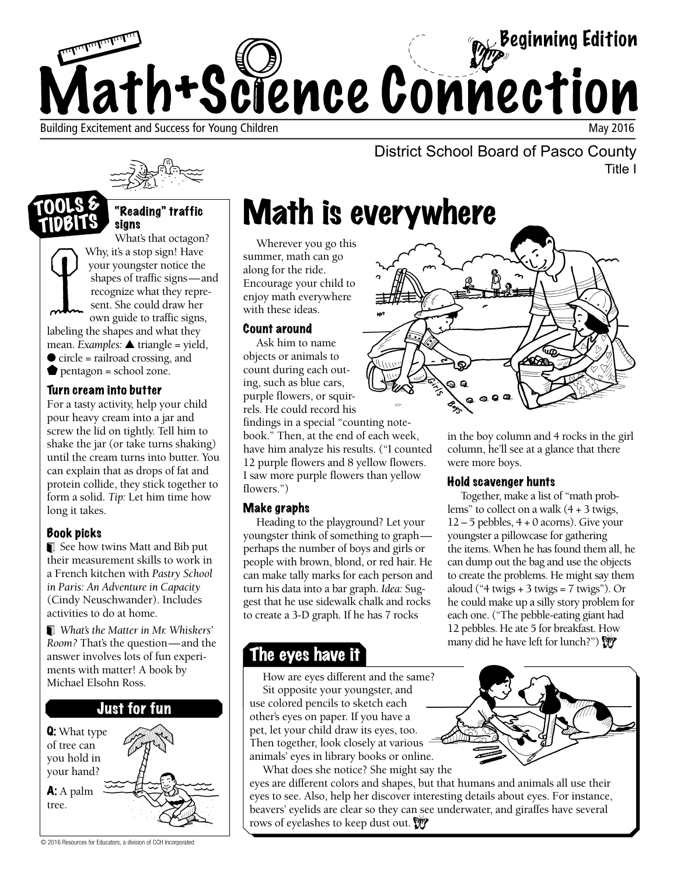

### "Reading" traffic signs

What's that octagon? Why, it's a stop sign! Have your youngster notice the shapes of traffic signs—and recognize what they represent. She could draw her own guide to traffic signs, labeling the shapes and what they mean. *Examples:* ▲ triangle = yield, ● circle = railroad crossing, and pentagon = school zone. TIDBITS

### Turn cream into butter

For a tasty activity, help your child pour heavy cream into a jar and screw the lid on tightly. Tell him to shake the jar (or take turns shaking) until the cream turns into butter. You can explain that as drops of fat and protein collide, they stick together to form a solid. *Tip:* Let him time how long it takes.

### Book picks

See how twins Matt and Bib put their measurement skills to work in a French kitchen with *Pastry School in Paris: An Adventure in Capacity*  (Cindy Neuschwander). Includes activities to do at home.

*What's the Matter in Mr. Whiskers' Room?* That's the question—and the answer involves lots of fun experiments with matter! A book by Michael Elsohn Ross.



District School Board of Pasco County Title I

# Math is everywhere

Wherever you go this summer, math can go along for the ride. Encourage your child to enjoy math everywhere with these ideas.

### Count around

Ask him to name objects or animals to count during each outing, such as blue cars, purple flowers, or squirrels. He could record his

findings in a special "counting notebook." Then, at the end of each week, have him analyze his results. ("I counted 12 purple flowers and 8 yellow flowers. I saw more purple flowers than yellow flowers.")

### Make graphs

Heading to the playground? Let your youngster think of something to graph perhaps the number of boys and girls or people with brown, blond, or red hair. He can make tally marks for each person and turn his data into a bar graph. *Idea:* Suggest that he use sidewalk chalk and rocks to create a 3-D graph. If he has 7 rocks

### The eyes have it

How are eyes different and the same? Sit opposite your youngster, and use colored pencils to sketch each other's eyes on paper. If you have a pet, let your child draw its eyes, too. Then together, look closely at various animals' eyes in library books or online.

What does she notice? She might say the eyes are different colors and shapes, but that humans and animals all use their eyes to see. Also, help her discover interesting details about eyes. For instance, beavers' eyelids are clear so they can see underwater, and giraffes have several rows of eyelashes to keep dust out.



in the boy column and 4 rocks in the girl column, he'll see at a glance that there were more boys.

### Hold scavenger hunts

Together, make a list of "math problems" to collect on a walk  $(4 + 3)$  twigs,  $12 - 5$  pebbles,  $4 + 0$  acorns). Give your youngster a pillowcase for gathering the items. When he has found them all, he can dump out the bag and use the objects to create the problems. He might say them aloud ("4 twigs  $+ 3$  twigs = 7 twigs"). Or he could make up a silly story problem for each one. ("The pebble-eating giant had 12 pebbles. He ate 5 for breakfast. How many did he have left for lunch?")